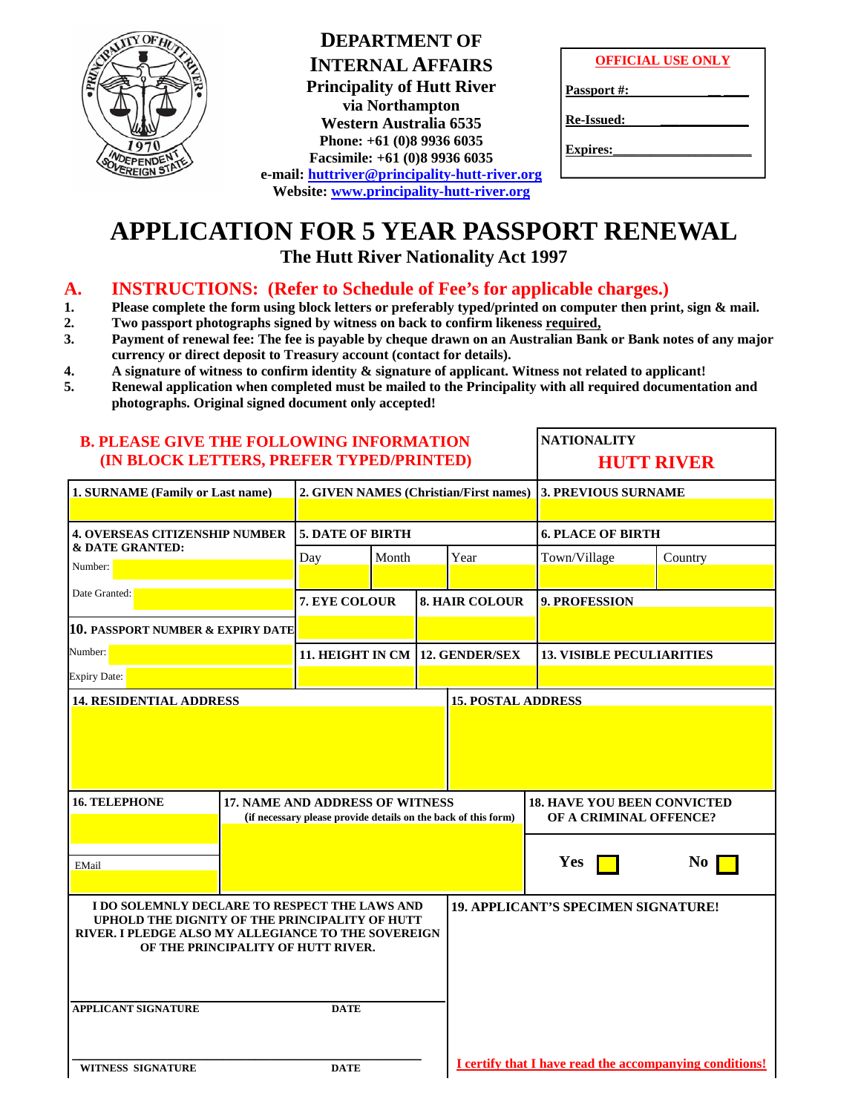

| <b>DEPARTMENT OF</b>                          |
|-----------------------------------------------|
| <b>INTERNAL AFFAIRS</b>                       |
| <b>Principality of Hutt River</b>             |
| via Northampton                               |
| <b>Western Australia 6535</b>                 |
| Phone: +61 (0)8 9936 6035                     |
| Facsimile: +61 (0)8 9936 6035                 |
| e-mail: huttriver@principality-hutt-river.org |
| Website: www.principality-hutt-river.org      |

| <b>OFFICIAL USE ONLY</b> |  |
|--------------------------|--|
|                          |  |

Passport #:

**Re-Issued: \_\_\_\_\_\_\_\_\_\_\_\_\_\_**

**Expires:** 

# **APPLICATION FOR 5 YEAR PASSPORT RENEWAL**

**The Hutt River Nationality Act 1997** 

### **A. INSTRUCTIONS: (Refer to Schedule of Fee's for applicable charges.)**

- **1. Please complete the form using block letters or preferably typed/printed on computer then print, sign & mail.**
- **2. Two passport photographs signed by witness on back to confirm likeness required,**
- **3. Payment of renewal fee: The fee is payable by cheque drawn on an Australian Bank or Bank notes of any major currency or direct deposit to Treasury account (contact for details).**
- **4. A signature of witness to confirm identity & signature of applicant. Witness not related to applicant!**
- **5. Renewal application when completed must be mailed to the Principality with all required documentation and photographs. Original signed document only accepted!**

| <b>B. PLEASE GIVE THE FOLLOWING INFORMATION</b><br>(IN BLOCK LETTERS, PREFER TYPED/PRINTED)                                                                                                                                               |             |                                        |  |                                                              | <b>NATIONALITY</b><br><b>HUTT RIVER</b>                 |                                  |                            |  |
|-------------------------------------------------------------------------------------------------------------------------------------------------------------------------------------------------------------------------------------------|-------------|----------------------------------------|--|--------------------------------------------------------------|---------------------------------------------------------|----------------------------------|----------------------------|--|
| 1. SURNAME (Family or Last name)                                                                                                                                                                                                          |             | 2. GIVEN NAMES (Christian/First names) |  |                                                              |                                                         |                                  | <b>3. PREVIOUS SURNAME</b> |  |
| <b>4. OVERSEAS CITIZENSHIP NUMBER</b><br>& DATE GRANTED:<br>Number:                                                                                                                                                                       |             | <b>5. DATE OF BIRTH</b>                |  |                                                              |                                                         | <b>6. PLACE OF BIRTH</b>         |                            |  |
|                                                                                                                                                                                                                                           |             | Day<br>Month                           |  | Year                                                         |                                                         | Town/Village                     | Country                    |  |
| Date Granted:                                                                                                                                                                                                                             |             | 7. EYE COLOUR                          |  |                                                              | <b>8. HAIR COLOUR</b>                                   | <b>9. PROFESSION</b>             |                            |  |
| <b>10. PASSPORT NUMBER &amp; EXPIRY DATE</b>                                                                                                                                                                                              |             |                                        |  |                                                              |                                                         |                                  |                            |  |
| Number:                                                                                                                                                                                                                                   |             | 11. HEIGHT IN CM 12. GENDER/SEX        |  |                                                              |                                                         | <b>13. VISIBLE PECULIARITIES</b> |                            |  |
| <b>Expiry Date:</b>                                                                                                                                                                                                                       |             |                                        |  |                                                              |                                                         |                                  |                            |  |
| <b>16. TELEPHONE</b><br>17. NAME AND ADDRESS OF WITNESS<br>(if necessary please provide details on the back of this form)                                                                                                                 |             |                                        |  | <b>18. HAVE YOU BEEN CONVICTED</b><br>OF A CRIMINAL OFFENCE? |                                                         |                                  |                            |  |
| EMail                                                                                                                                                                                                                                     |             |                                        |  |                                                              |                                                         | Yes                              | No                         |  |
| I DO SOLEMNLY DECLARE TO RESPECT THE LAWS AND<br>UPHOLD THE DIGNITY OF THE PRINCIPALITY OF HUTT<br>RIVER. I PLEDGE ALSO MY ALLEGIANCE TO THE SOVEREIGN<br>OF THE PRINCIPALITY OF HUTT RIVER.<br><b>APPLICANT SIGNATURE</b><br><b>DATE</b> |             |                                        |  | <b>19. APPLICANT'S SPECIMEN SIGNATURE!</b>                   |                                                         |                                  |                            |  |
| <b>WITNESS SIGNATURE</b>                                                                                                                                                                                                                  | <b>DATE</b> |                                        |  |                                                              | I certify that I have read the accompanying conditions! |                                  |                            |  |